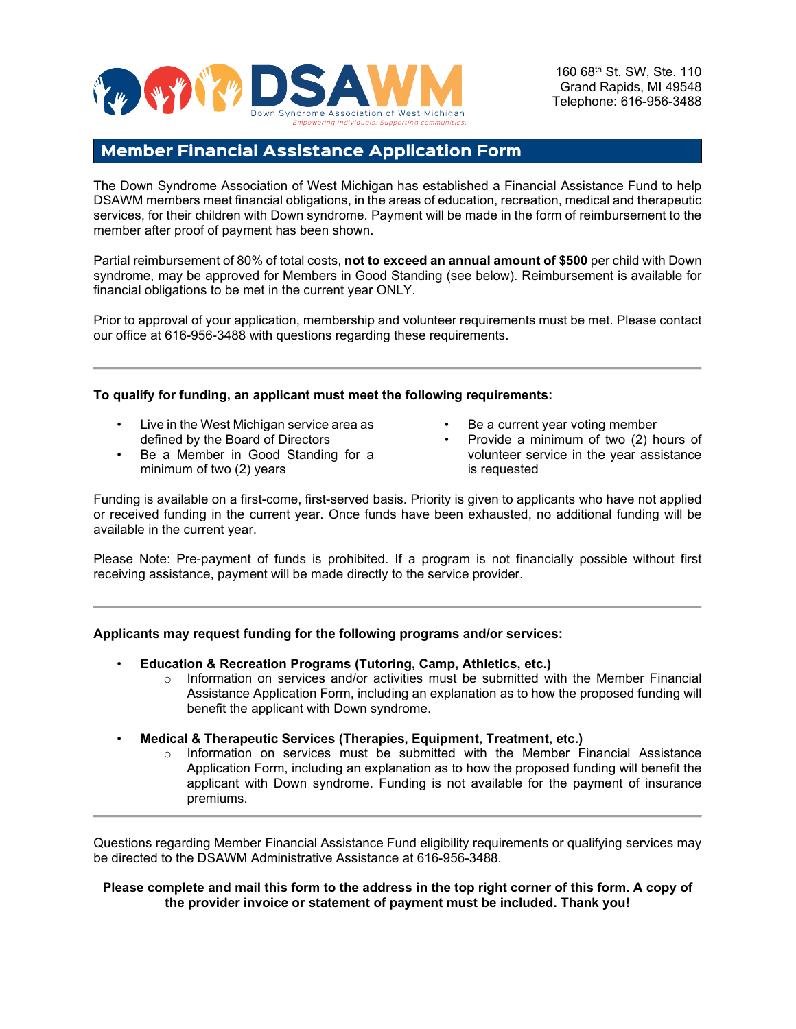

160 68th St. SW, Ste. 110 Grand Rapids, MI 49548 Telephone: 616-956-3488

## Member Financial Assistance Application Form

The Down Syndrome Association of West Michigan has established a Financial Assistance Fund to help DSAWM members meet financial obligations, in the areas of education, recreation, medical and therapeutic services, for their children with Down syndrome. Payment will be made in the form of reimbursement to the member after proof of payment has been shown.

Partial reimbursement of 80% of total costs, **not to exceed an annual amount of \$500** per child with Down syndrome, may be approved for Members in Good Standing (see below). Reimbursement is available for financial obligations to be met in the current year ONLY.

Prior to approval of your application, membership and volunteer requirements must be met. Please contact our office at 616-956-3488 with questions regarding these requirements.

### **To qualify for funding, an applicant must meet the following requirements:**

- Live in the West Michigan service area as defined by the Board of Directors
- Be a Member in Good Standing for a minimum of two (2) years
- Be a current year voting member
- Provide a minimum of two (2) hours of volunteer service in the year assistance is requested

Funding is available on a first-come, first-served basis. Priority is given to applicants who have not applied or received funding in the current year. Once funds have been exhausted, no additional funding will be available in the current year.

Please Note: Pre-payment of funds is prohibited. If a program is not financially possible without first receiving assistance, payment will be made directly to the service provider.

### **Applicants may request funding for the following programs and/or services:**

- **Education & Recreation Programs (Tutoring, Camp, Athletics, etc.)**
	- $\circ$  Information on services and/or activities must be submitted with the Member Financial Assistance Application Form, including an explanation as to how the proposed funding will benefit the applicant with Down syndrome.
- **Medical & Therapeutic Services (Therapies, Equipment, Treatment, etc.)**
	- $\circ$  Information on services must be submitted with the Member Financial Assistance Application Form, including an explanation as to how the proposed funding will benefit the applicant with Down syndrome. Funding is not available for the payment of insurance premiums.

Questions regarding Member Financial Assistance Fund eligibility requirements or qualifying services may be directed to the DSAWM Administrative Assistance at 616-956-3488.

#### **Please complete and mail this form to the address in the top right corner of this form. A copy of the provider invoice or statement of payment must be included. Thank you!**